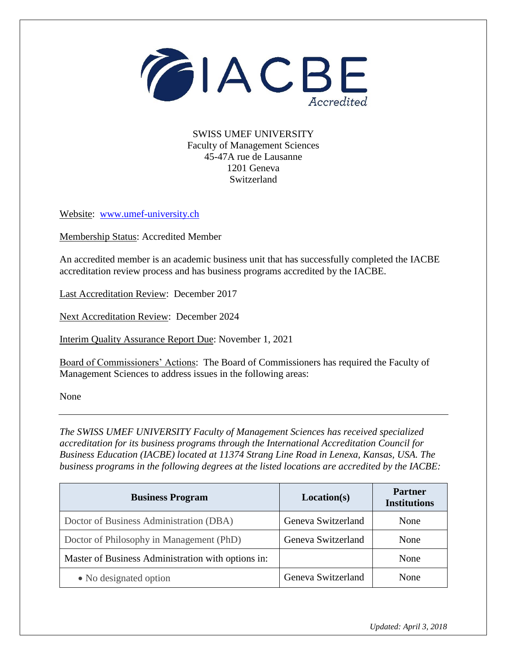

SWISS UMEF UNIVERSITY Faculty of Management Sciences 45-47A rue de Lausanne 1201 Geneva Switzerland

Website: [www.umef-university.ch](http://www.umef-university.ch/)

Membership Status: Accredited Member

An accredited member is an academic business unit that has successfully completed the IACBE accreditation review process and has business programs accredited by the IACBE.

Last Accreditation Review: December 2017

Next Accreditation Review: December 2024

Interim Quality Assurance Report Due: November 1, 2021

Board of Commissioners' Actions: The Board of Commissioners has required the Faculty of Management Sciences to address issues in the following areas:

None

*The SWISS UMEF UNIVERSITY Faculty of Management Sciences has received specialized accreditation for its business programs through the International Accreditation Council for Business Education (IACBE) located at 11374 Strang Line Road in Lenexa, Kansas, USA. The business programs in the following degrees at the listed locations are accredited by the IACBE:*

| <b>Business Program</b>                            | Location(s)        | <b>Partner</b><br><b>Institutions</b> |
|----------------------------------------------------|--------------------|---------------------------------------|
| Doctor of Business Administration (DBA)            | Geneva Switzerland | None                                  |
| Doctor of Philosophy in Management (PhD)           | Geneva Switzerland | None                                  |
| Master of Business Administration with options in: |                    | None                                  |
| • No designated option                             | Geneva Switzerland | <b>None</b>                           |